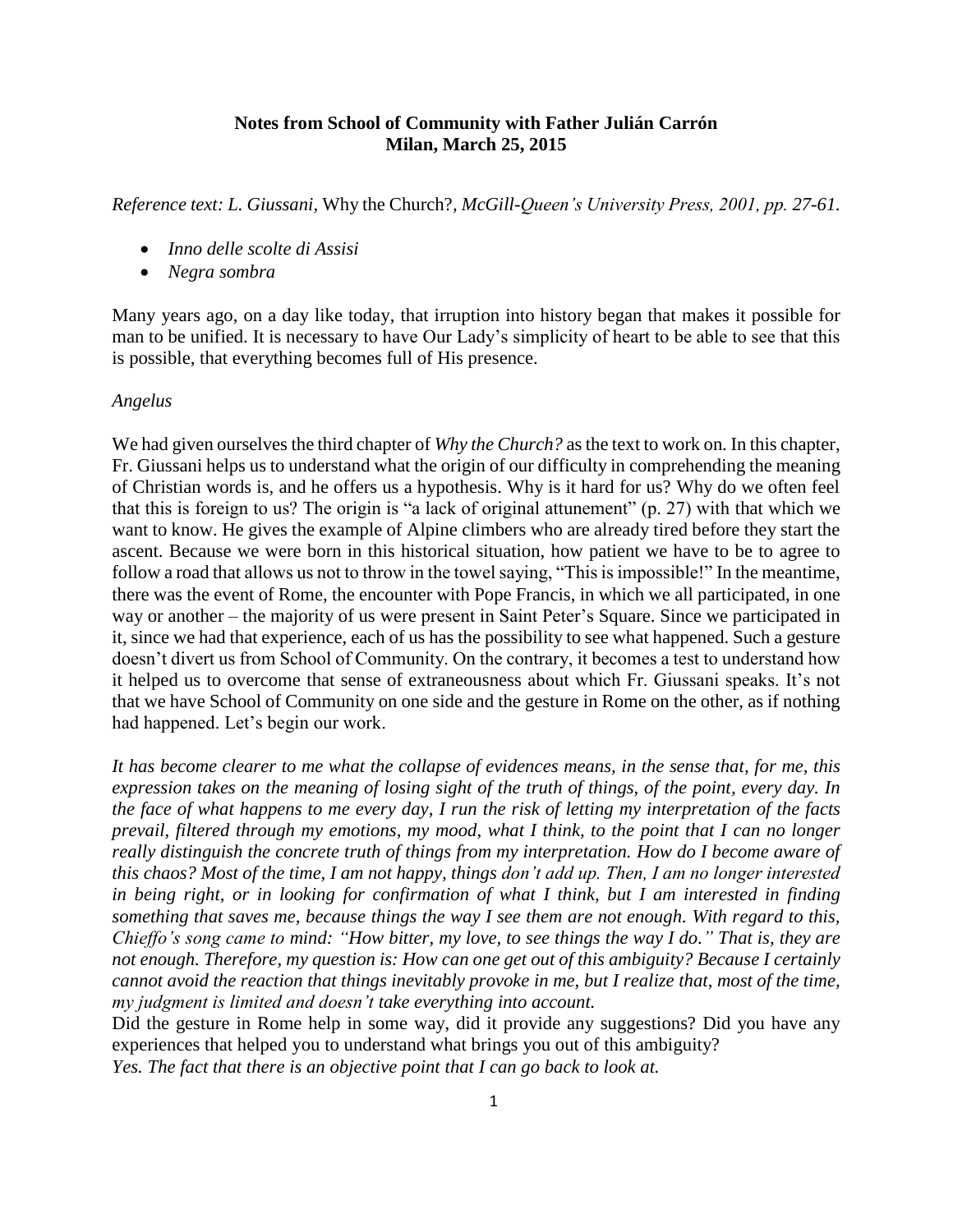## **Notes from School of Community with Father Julián Carrón Milan, March 25, 2015**

*Reference text: L. Giussani,* Why the Church?*, McGill-Queen's University Press, 2001, pp. 27-61.*

- *Inno delle scolte di Assisi*
- *Negra sombra*

Many years ago, on a day like today, that irruption into history began that makes it possible for man to be unified. It is necessary to have Our Lady's simplicity of heart to be able to see that this is possible, that everything becomes full of His presence.

## *Angelus*

We had given ourselves the third chapter of *Why the Church?* as the text to work on*.* In this chapter, Fr. Giussani helps us to understand what the origin of our difficulty in comprehending the meaning of Christian words is, and he offers us a hypothesis. Why is it hard for us? Why do we often feel that this is foreign to us? The origin is "a lack of original attunement" (p. 27) with that which we want to know. He gives the example of Alpine climbers who are already tired before they start the ascent. Because we were born in this historical situation, how patient we have to be to agree to follow a road that allows us not to throw in the towel saying, "This is impossible!" In the meantime, there was the event of Rome, the encounter with Pope Francis, in which we all participated, in one way or another – the majority of us were present in Saint Peter's Square. Since we participated in it, since we had that experience, each of us has the possibility to see what happened. Such a gesture doesn't divert us from School of Community. On the contrary, it becomes a test to understand how it helped us to overcome that sense of extraneousness about which Fr. Giussani speaks. It's not that we have School of Community on one side and the gesture in Rome on the other, as if nothing had happened. Let's begin our work.

*It has become clearer to me what the collapse of evidences means, in the sense that, for me, this expression takes on the meaning of losing sight of the truth of things, of the point, every day. In the face of what happens to me every day, I run the risk of letting my interpretation of the facts prevail, filtered through my emotions, my mood, what I think, to the point that I can no longer really distinguish the concrete truth of things from my interpretation. How do I become aware of this chaos? Most of the time, I am not happy, things don't add up. Then, I am no longer interested in being right, or in looking for confirmation of what I think, but I am interested in finding something that saves me, because things the way I see them are not enough. With regard to this, Chieffo's song came to mind: "How bitter, my love, to see things the way I do." That is, they are not enough. Therefore, my question is: How can one get out of this ambiguity? Because I certainly cannot avoid the reaction that things inevitably provoke in me, but I realize that, most of the time, my judgment is limited and doesn't take everything into account.*

Did the gesture in Rome help in some way, did it provide any suggestions? Did you have any experiences that helped you to understand what brings you out of this ambiguity? *Yes. The fact that there is an objective point that I can go back to look at.*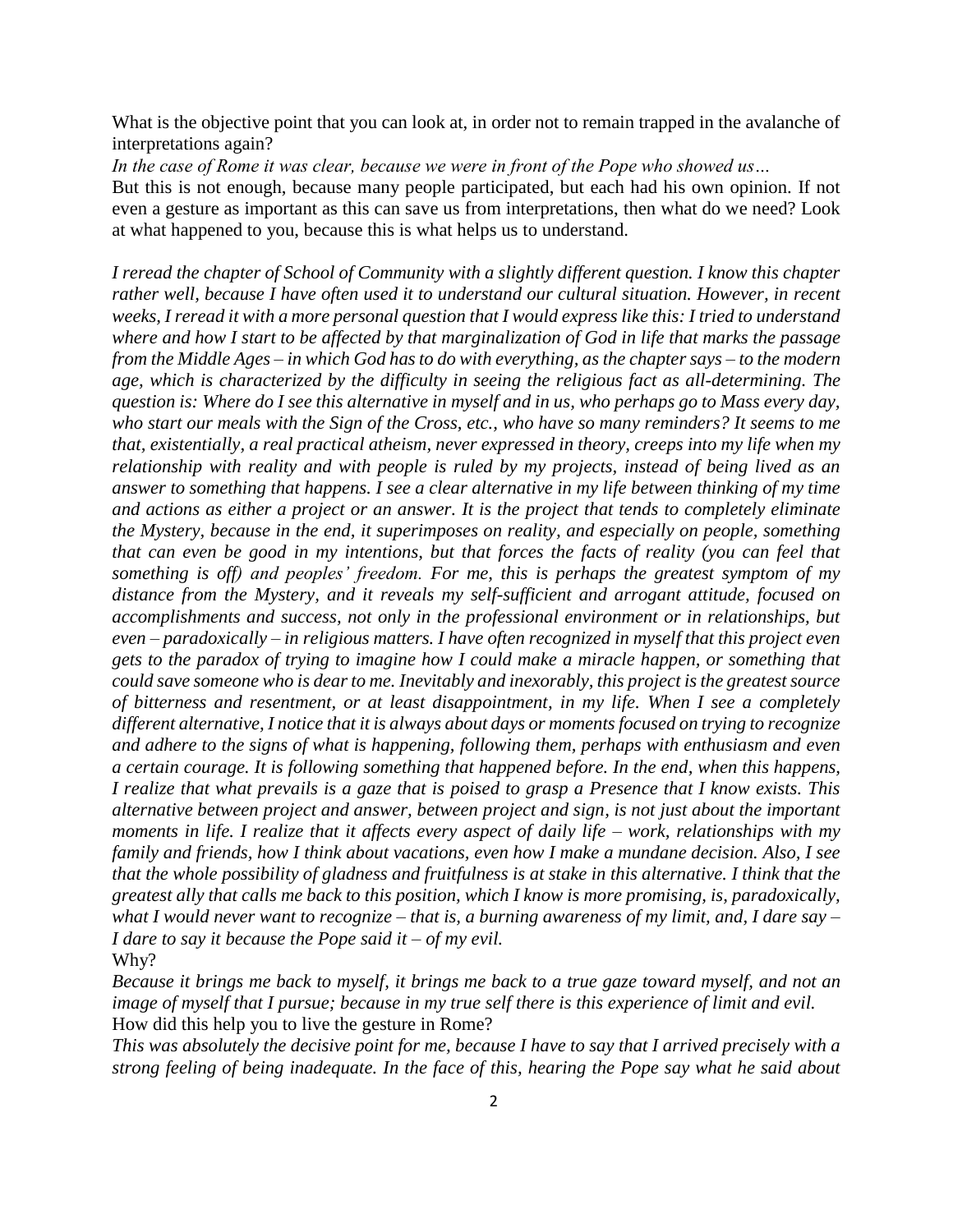What is the objective point that you can look at, in order not to remain trapped in the avalanche of interpretations again?

*In the case of Rome it was clear, because we were in front of the Pope who showed us…*

But this is not enough, because many people participated, but each had his own opinion. If not even a gesture as important as this can save us from interpretations, then what do we need? Look at what happened to you, because this is what helps us to understand.

*I reread the chapter of School of Community with a slightly different question. I know this chapter rather well, because I have often used it to understand our cultural situation. However, in recent weeks, I reread it with a more personal question that I would express like this: I tried to understand where and how I start to be affected by that marginalization of God in life that marks the passage from the Middle Ages – in which God hasto do with everything, as the chapter says – to the modern age, which is characterized by the difficulty in seeing the religious fact as all-determining. The question is: Where do I see this alternative in myself and in us, who perhaps go to Mass every day, who start our meals with the Sign of the Cross, etc., who have so many reminders? It seems to me that, existentially, a real practical atheism, never expressed in theory, creeps into my life when my relationship with reality and with people is ruled by my projects, instead of being lived as an answer to something that happens. I see a clear alternative in my life between thinking of my time and actions as either a project or an answer. It is the project that tends to completely eliminate the Mystery, because in the end, it superimposes on reality, and especially on people, something that can even be good in my intentions, but that forces the facts of reality (you can feel that something is off) and peoples' freedom. For me, this is perhaps the greatest symptom of my distance from the Mystery, and it reveals my self-sufficient and arrogant attitude, focused on accomplishments and success, not only in the professional environment or in relationships, but even – paradoxically – in religious matters. I have often recognized in myself that this project even gets to the paradox of trying to imagine how I could make a miracle happen, or something that could save someone who is dear to me. Inevitably and inexorably, this project is the greatest source of bitterness and resentment, or at least disappointment, in my life. When I see a completely different alternative, I notice that it is always about days or moments focused on trying to recognize and adhere to the signs of what is happening, following them, perhaps with enthusiasm and even a certain courage. It is following something that happened before. In the end, when this happens, I realize that what prevails is a gaze that is poised to grasp a Presence that I know exists. This alternative between project and answer, between project and sign, is not just about the important moments in life. I realize that it affects every aspect of daily life – work, relationships with my family and friends, how I think about vacations, even how I make a mundane decision. Also, I see that the whole possibility of gladness and fruitfulness is at stake in this alternative. I think that the greatest ally that calls me back to this position, which I know is more promising, is, paradoxically, what I would never want to recognize – that is, a burning awareness of my limit, and, I dare say – I dare to say it because the Pope said it – of my evil.* Why?

*Because it brings me back to myself, it brings me back to a true gaze toward myself, and not an image of myself that I pursue; because in my true self there is this experience of limit and evil.* How did this help you to live the gesture in Rome?

*This was absolutely the decisive point for me, because I have to say that I arrived precisely with a strong feeling of being inadequate. In the face of this, hearing the Pope say what he said about*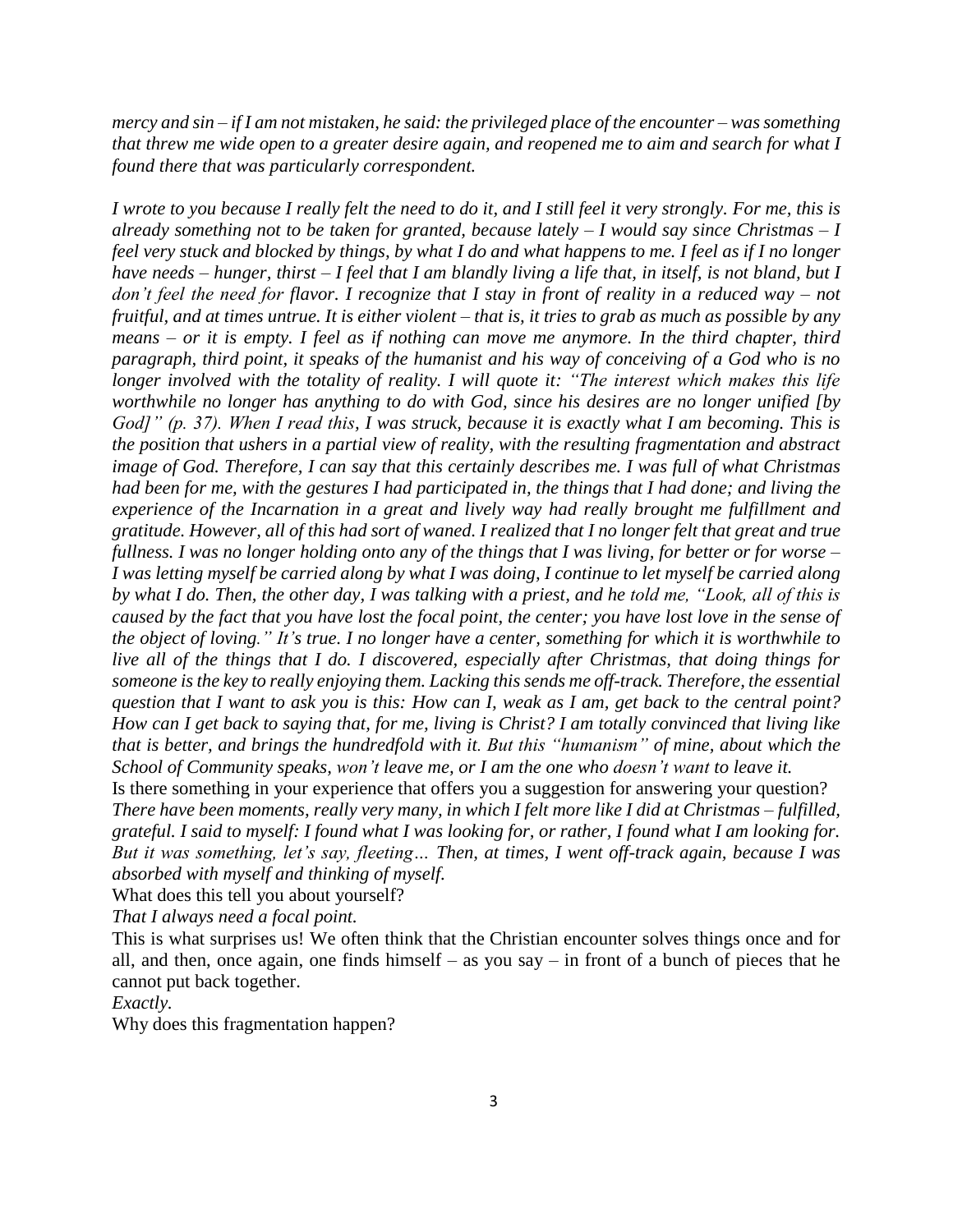*mercy and sin – if I am not mistaken, he said: the privileged place of the encounter – was something that threw me wide open to a greater desire again, and reopened me to aim and search for what I found there that was particularly correspondent.*

*I wrote to you because I really felt the need to do it, and I still feel it very strongly. For me, this is already something not to be taken for granted, because lately – I would say since Christmas – I feel very stuck and blocked by things, by what I do and what happens to me. I feel as if I no longer have needs – hunger, thirst – I feel that I am blandly living a life that, in itself, is not bland, but I don't feel the need for flavor. I recognize that I stay in front of reality in a reduced way – not fruitful, and at times untrue. It is either violent – that is, it tries to grab as much as possible by any means – or it is empty. I feel as if nothing can move me anymore. In the third chapter, third paragraph, third point, it speaks of the humanist and his way of conceiving of a God who is no longer involved with the totality of reality. I will quote it: "The interest which makes this life worthwhile no longer has anything to do with God, since his desires are no longer unified [by God]" (p. 37). When I read this, I was struck, because it is exactly what I am becoming. This is the position that ushers in a partial view of reality, with the resulting fragmentation and abstract image of God. Therefore, I can say that this certainly describes me. I was full of what Christmas had been for me, with the gestures I had participated in, the things that I had done; and living the experience of the Incarnation in a great and lively way had really brought me fulfillment and gratitude. However, all of this had sort of waned. I realized that I no longer felt that great and true fullness. I was no longer holding onto any of the things that I was living, for better or for worse – I was letting myself be carried along by what I was doing, I continue to let myself be carried along by what I do. Then, the other day, I was talking with a priest, and he told me, "Look, all of this is caused by the fact that you have lost the focal point, the center; you have lost love in the sense of the object of loving." It's true. I no longer have a center, something for which it is worthwhile to live all of the things that I do. I discovered, especially after Christmas, that doing things for someone is the key to really enjoying them. Lacking this sends me off-track. Therefore, the essential question that I want to ask you is this: How can I, weak as I am, get back to the central point? How can I get back to saying that, for me, living is Christ? I am totally convinced that living like that is better, and brings the hundredfold with it. But this "humanism" of mine, about which the School of Community speaks, won't leave me, or I am the one who doesn't want to leave it.* Is there something in your experience that offers you a suggestion for answering your question? *There have been moments, really very many, in which I felt more like I did at Christmas – fulfilled, grateful. I said to myself: I found what I was looking for, or rather, I found what I am looking for.* 

*But it was something, let's say, fleeting… Then, at times, I went off-track again, because I was absorbed with myself and thinking of myself.*

What does this tell you about yourself?

*That I always need a focal point.*

This is what surprises us! We often think that the Christian encounter solves things once and for all, and then, once again, one finds himself – as you say – in front of a bunch of pieces that he cannot put back together.

*Exactly.*

Why does this fragmentation happen?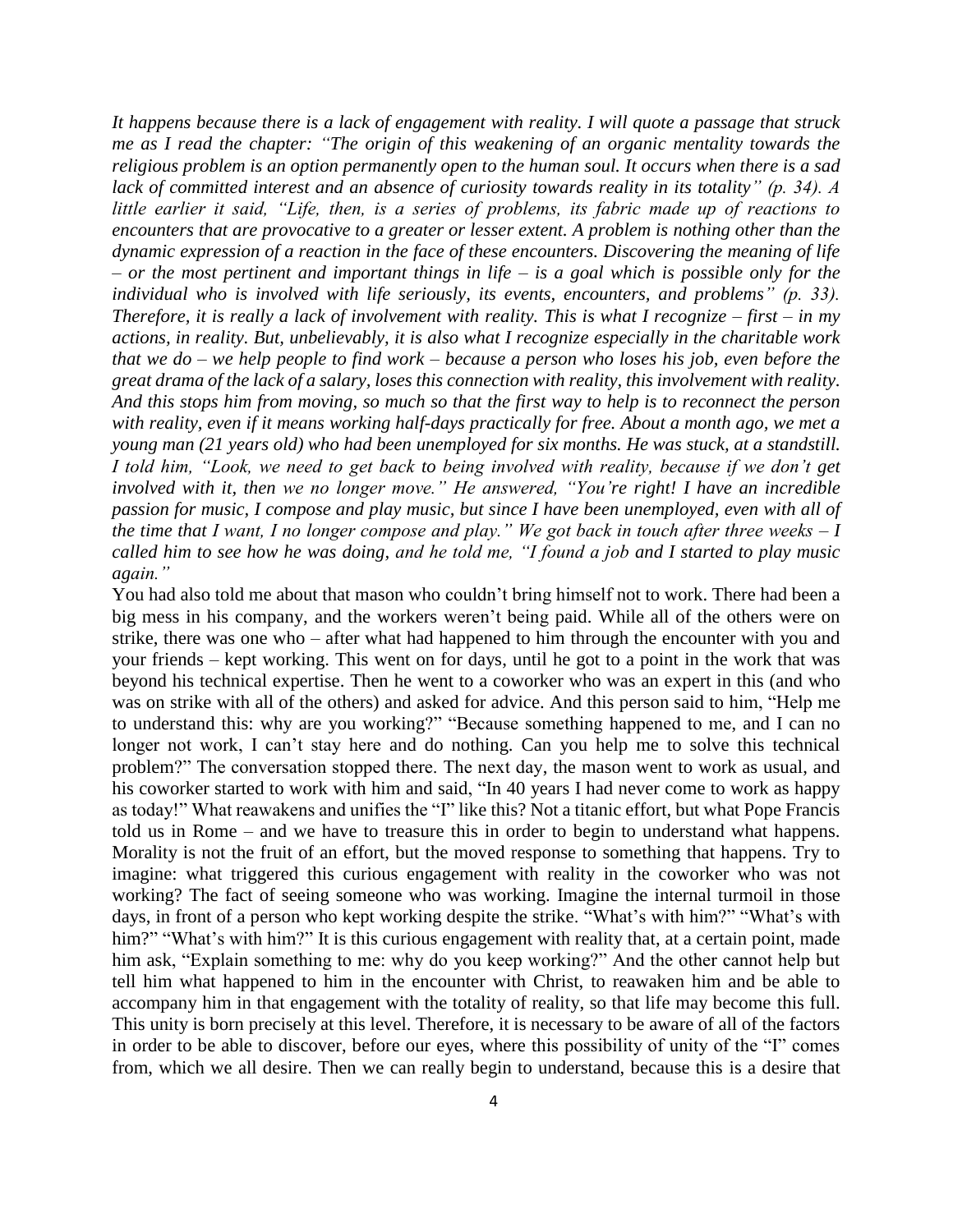*It happens because there is a lack of engagement with reality. I will quote a passage that struck me as I read the chapter: "The origin of this weakening of an organic mentality towards the religious problem is an option permanently open to the human soul. It occurs when there is a sad lack of committed interest and an absence of curiosity towards reality in its totality" (p. 34). A little earlier it said, "Life, then, is a series of problems, its fabric made up of reactions to encounters that are provocative to a greater or lesser extent. A problem is nothing other than the dynamic expression of a reaction in the face of these encounters. Discovering the meaning of life – or the most pertinent and important things in life – is a goal which is possible only for the individual who is involved with life seriously, its events, encounters, and problems" (p. 33). Therefore, it is really a lack of involvement with reality. This is what I recognize – first – in my actions, in reality. But, unbelievably, it is also what I recognize especially in the charitable work that we do – we help people to find work – because a person who loses his job, even before the great drama of the lack of a salary, loses this connection with reality, this involvement with reality. And this stops him from moving, so much so that the first way to help is to reconnect the person with reality, even if it means working half-days practically for free. About a month ago, we met a young man (21 years old) who had been unemployed for six months. He was stuck, at a standstill. I told him, "Look, we need to get back to being involved with reality, because if we don't get involved with it, then we no longer move." He answered, "You're right! I have an incredible passion for music, I compose and play music, but since I have been unemployed, even with all of the time that I want, I no longer compose and play." We got back in touch after three weeks – I called him to see how he was doing, and he told me, "I found a job and I started to play music again."*

You had also told me about that mason who couldn't bring himself not to work. There had been a big mess in his company, and the workers weren't being paid. While all of the others were on strike, there was one who – after what had happened to him through the encounter with you and your friends – kept working. This went on for days, until he got to a point in the work that was beyond his technical expertise. Then he went to a coworker who was an expert in this (and who was on strike with all of the others) and asked for advice. And this person said to him, "Help me to understand this: why are you working?" "Because something happened to me, and I can no longer not work, I can't stay here and do nothing. Can you help me to solve this technical problem?" The conversation stopped there. The next day, the mason went to work as usual, and his coworker started to work with him and said, "In 40 years I had never come to work as happy as today!" What reawakens and unifies the "I" like this? Not a titanic effort, but what Pope Francis told us in Rome – and we have to treasure this in order to begin to understand what happens. Morality is not the fruit of an effort, but the moved response to something that happens. Try to imagine: what triggered this curious engagement with reality in the coworker who was not working? The fact of seeing someone who was working. Imagine the internal turmoil in those days, in front of a person who kept working despite the strike. "What's with him?" "What's with him?" "What's with him?" It is this curious engagement with reality that, at a certain point, made him ask, "Explain something to me: why do you keep working?" And the other cannot help but tell him what happened to him in the encounter with Christ, to reawaken him and be able to accompany him in that engagement with the totality of reality, so that life may become this full. This unity is born precisely at this level. Therefore, it is necessary to be aware of all of the factors in order to be able to discover, before our eyes, where this possibility of unity of the "I" comes from, which we all desire. Then we can really begin to understand, because this is a desire that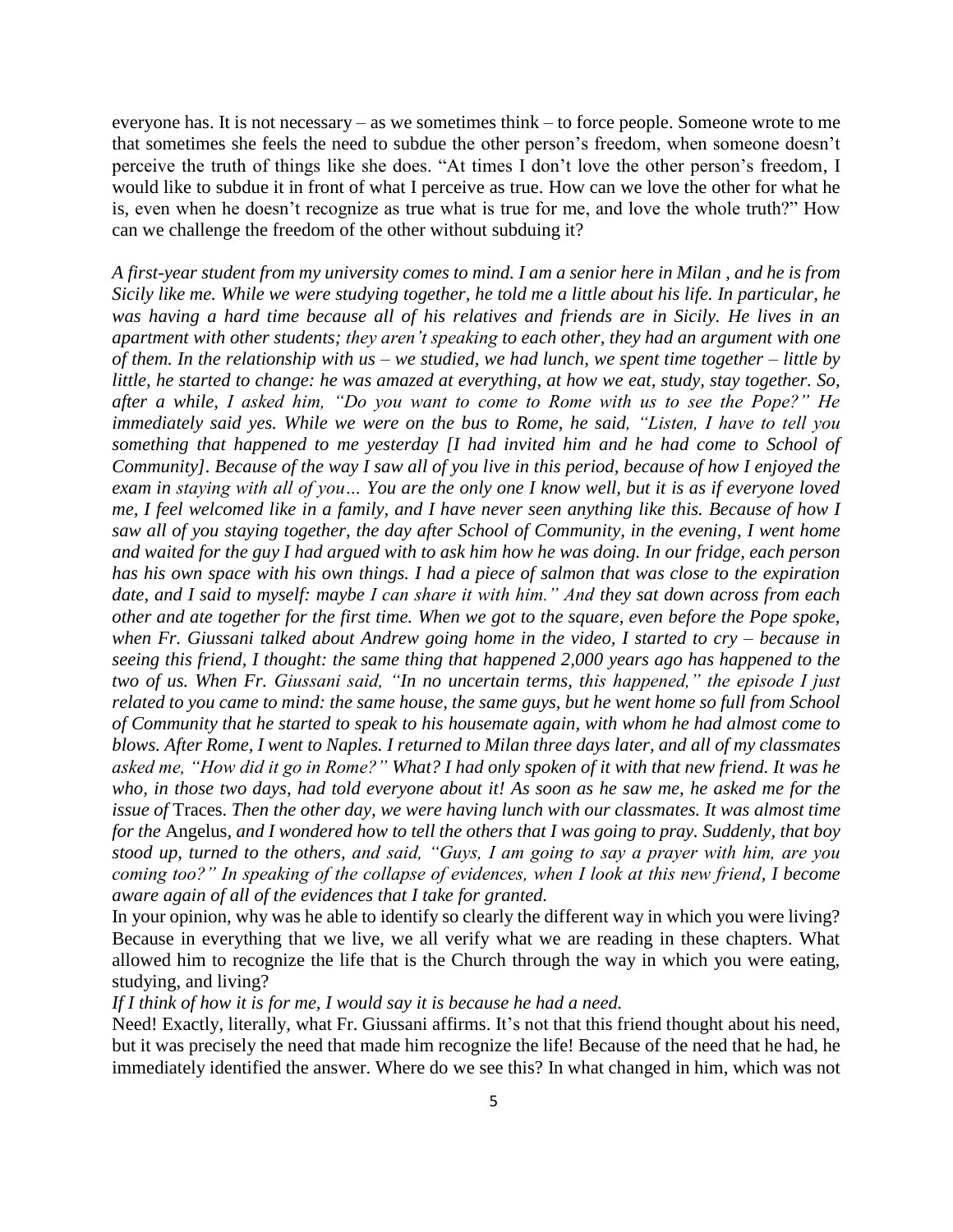everyone has. It is not necessary – as we sometimes think – to force people. Someone wrote to me that sometimes she feels the need to subdue the other person's freedom, when someone doesn't perceive the truth of things like she does. "At times I don't love the other person's freedom, I would like to subdue it in front of what I perceive as true. How can we love the other for what he is, even when he doesn't recognize as true what is true for me, and love the whole truth?" How can we challenge the freedom of the other without subduing it?

*A first-year student from my university comes to mind. I am a senior here in Milan , and he is from Sicily like me. While we were studying together, he told me a little about his life. In particular, he was having a hard time because all of his relatives and friends are in Sicily. He lives in an apartment with other students; they aren't speaking to each other, they had an argument with one of them. In the relationship with us – we studied, we had lunch, we spent time together – little by little, he started to change: he was amazed at everything, at how we eat, study, stay together. So, after a while, I asked him, "Do you want to come to Rome with us to see the Pope?" He immediately said yes. While we were on the bus to Rome, he said, "Listen, I have to tell you something that happened to me yesterday [I had invited him and he had come to School of Community]. Because of the way I saw all of you live in this period, because of how I enjoyed the exam in staying with all of you… You are the only one I know well, but it is as if everyone loved me, I feel welcomed like in a family, and I have never seen anything like this. Because of how I saw all of you staying together, the day after School of Community, in the evening, I went home and waited for the guy I had argued with to ask him how he was doing. In our fridge, each person has his own space with his own things. I had a piece of salmon that was close to the expiration date, and I said to myself: maybe I can share it with him." And they sat down across from each other and ate together for the first time. When we got to the square, even before the Pope spoke, when Fr. Giussani talked about Andrew going home in the video, I started to cry – because in seeing this friend, I thought: the same thing that happened 2,000 years ago has happened to the two of us. When Fr. Giussani said, "In no uncertain terms, this happened," the episode I just related to you came to mind: the same house, the same guys, but he went home so full from School of Community that he started to speak to his housemate again, with whom he had almost come to blows. After Rome, I went to Naples. I returned to Milan three days later, and all of my classmates asked me, "How did it go in Rome?" What? I had only spoken of it with that new friend. It was he who, in those two days, had told everyone about it! As soon as he saw me, he asked me for the issue of* Traces. *Then the other day, we were having lunch with our classmates. It was almost time for the* Angelus*, and I wondered how to tell the others that I was going to pray. Suddenly, that boy stood up, turned to the others, and said, "Guys, I am going to say a prayer with him, are you coming too?" In speaking of the collapse of evidences, when I look at this new friend, I become aware again of all of the evidences that I take for granted.*

In your opinion, why was he able to identify so clearly the different way in which you were living? Because in everything that we live, we all verify what we are reading in these chapters. What allowed him to recognize the life that is the Church through the way in which you were eating, studying, and living?

## *If I think of how it is for me, I would say it is because he had a need.*

Need! Exactly, literally, what Fr. Giussani affirms. It's not that this friend thought about his need, but it was precisely the need that made him recognize the life! Because of the need that he had, he immediately identified the answer. Where do we see this? In what changed in him, which was not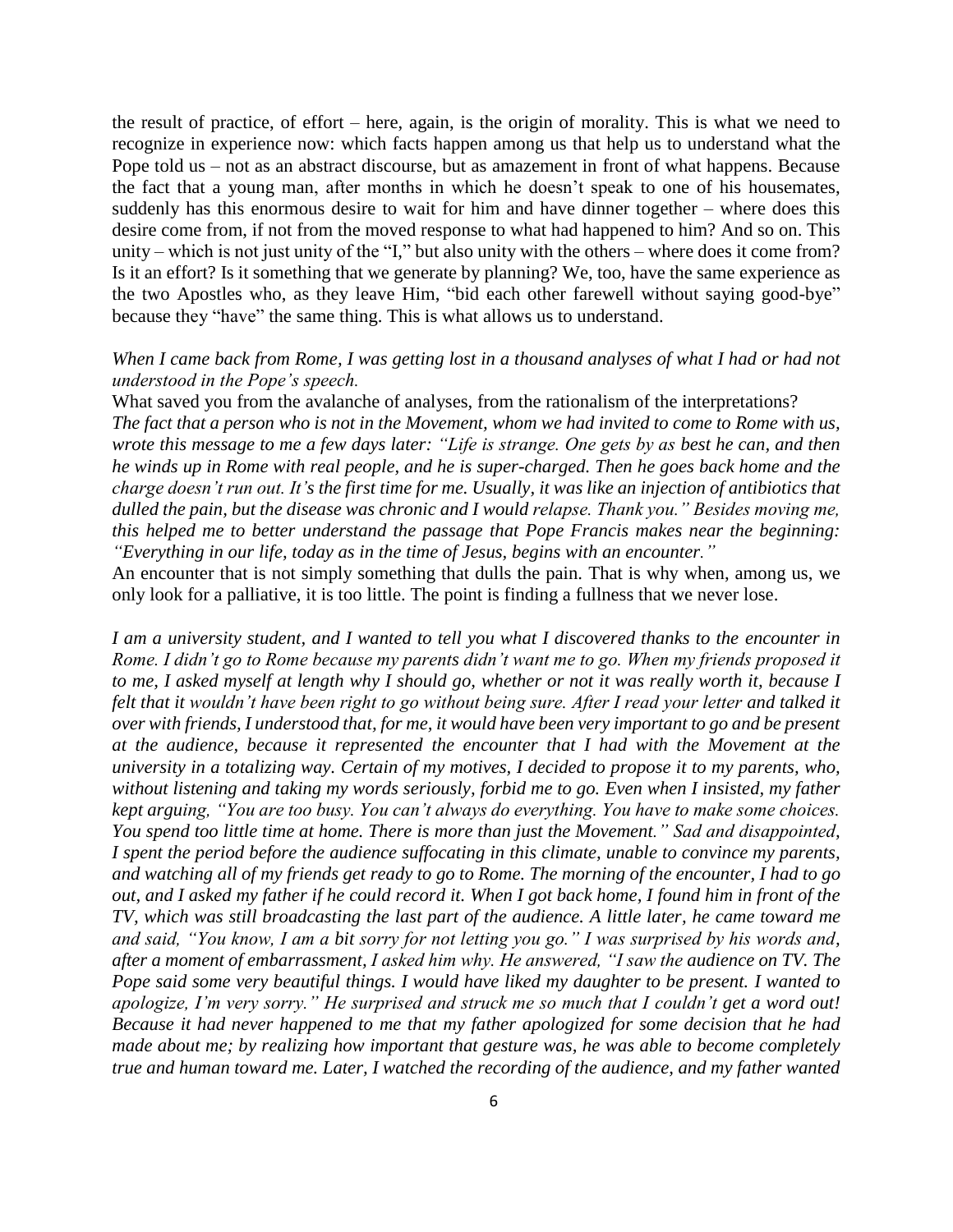the result of practice, of effort – here, again, is the origin of morality. This is what we need to recognize in experience now: which facts happen among us that help us to understand what the Pope told us – not as an abstract discourse, but as amazement in front of what happens. Because the fact that a young man, after months in which he doesn't speak to one of his housemates, suddenly has this enormous desire to wait for him and have dinner together – where does this desire come from, if not from the moved response to what had happened to him? And so on. This unity – which is not just unity of the "I," but also unity with the others – where does it come from? Is it an effort? Is it something that we generate by planning? We, too, have the same experience as the two Apostles who, as they leave Him, "bid each other farewell without saying good-bye" because they "have" the same thing. This is what allows us to understand.

## *When I came back from Rome, I was getting lost in a thousand analyses of what I had or had not understood in the Pope's speech.*

What saved you from the avalanche of analyses, from the rationalism of the interpretations? *The fact that a person who is not in the Movement, whom we had invited to come to Rome with us, wrote this message to me a few days later: "Life is strange. One gets by as best he can, and then he winds up in Rome with real people, and he is super-charged. Then he goes back home and the charge doesn't run out. It's the first time for me. Usually, it was like an injection of antibiotics that dulled the pain, but the disease was chronic and I would relapse. Thank you." Besides moving me, this helped me to better understand the passage that Pope Francis makes near the beginning: "Everything in our life, today as in the time of Jesus, begins with an encounter."*

An encounter that is not simply something that dulls the pain. That is why when, among us, we only look for a palliative, it is too little. The point is finding a fullness that we never lose.

*I am a university student, and I wanted to tell you what I discovered thanks to the encounter in Rome. I didn't go to Rome because my parents didn't want me to go. When my friends proposed it to me, I asked myself at length why I should go, whether or not it was really worth it, because I felt that it wouldn't have been right to go without being sure. After I read your letter and talked it over with friends, I understood that, for me, it would have been very important to go and be present at the audience, because it represented the encounter that I had with the Movement at the university in a totalizing way. Certain of my motives, I decided to propose it to my parents, who, without listening and taking my words seriously, forbid me to go. Even when I insisted, my father kept arguing, "You are too busy. You can't always do everything. You have to make some choices. You spend too little time at home. There is more than just the Movement." Sad and disappointed, I spent the period before the audience suffocating in this climate, unable to convince my parents, and watching all of my friends get ready to go to Rome. The morning of the encounter, I had to go out, and I asked my father if he could record it. When I got back home, I found him in front of the TV, which was still broadcasting the last part of the audience. A little later, he came toward me and said, "You know, I am a bit sorry for not letting you go." I was surprised by his words and, after a moment of embarrassment, I asked him why. He answered, "I saw the audience on TV. The Pope said some very beautiful things. I would have liked my daughter to be present. I wanted to apologize, I'm very sorry." He surprised and struck me so much that I couldn't get a word out! Because it had never happened to me that my father apologized for some decision that he had made about me; by realizing how important that gesture was, he was able to become completely true and human toward me. Later, I watched the recording of the audience, and my father wanted*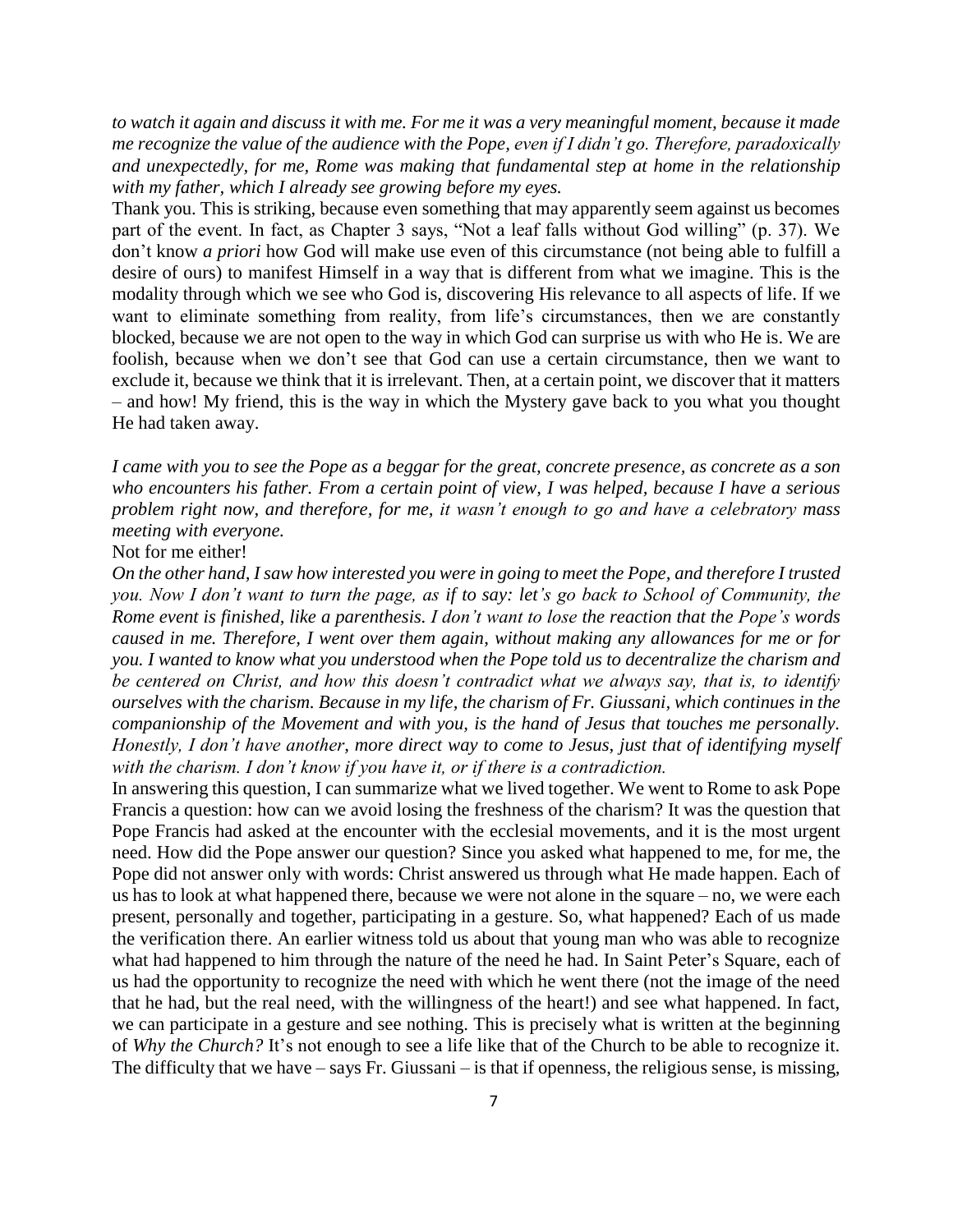*to watch it again and discuss it with me. For me it was a very meaningful moment, because it made me recognize the value of the audience with the Pope, even if I didn't go. Therefore, paradoxically and unexpectedly, for me, Rome was making that fundamental step at home in the relationship with my father, which I already see growing before my eyes.*

Thank you. This is striking, because even something that may apparently seem against us becomes part of the event. In fact, as Chapter 3 says, "Not a leaf falls without God willing" (p. 37). We don't know *a priori* how God will make use even of this circumstance (not being able to fulfill a desire of ours) to manifest Himself in a way that is different from what we imagine. This is the modality through which we see who God is, discovering His relevance to all aspects of life. If we want to eliminate something from reality, from life's circumstances, then we are constantly blocked, because we are not open to the way in which God can surprise us with who He is. We are foolish, because when we don't see that God can use a certain circumstance, then we want to exclude it, because we think that it is irrelevant. Then, at a certain point, we discover that it matters – and how! My friend, this is the way in which the Mystery gave back to you what you thought He had taken away.

*I came with you to see the Pope as a beggar for the great, concrete presence, as concrete as a son who encounters his father. From a certain point of view, I was helped, because I have a serious problem right now, and therefore, for me, it wasn't enough to go and have a celebratory mass meeting with everyone.*

Not for me either!

*On the other hand, I saw how interested you were in going to meet the Pope, and therefore I trusted you. Now I don't want to turn the page, as if to say: let's go back to School of Community, the Rome event is finished, like a parenthesis. I don't want to lose the reaction that the Pope's words caused in me. Therefore, I went over them again, without making any allowances for me or for you. I wanted to know what you understood when the Pope told us to decentralize the charism and be centered on Christ, and how this doesn't contradict what we always say, that is, to identify ourselves with the charism. Because in my life, the charism of Fr. Giussani, which continues in the companionship of the Movement and with you, is the hand of Jesus that touches me personally. Honestly, I don't have another, more direct way to come to Jesus, just that of identifying myself with the charism. I don't know if you have it, or if there is a contradiction.*

In answering this question, I can summarize what we lived together. We went to Rome to ask Pope Francis a question: how can we avoid losing the freshness of the charism? It was the question that Pope Francis had asked at the encounter with the ecclesial movements, and it is the most urgent need. How did the Pope answer our question? Since you asked what happened to me, for me, the Pope did not answer only with words: Christ answered us through what He made happen. Each of us has to look at what happened there, because we were not alone in the square – no, we were each present, personally and together, participating in a gesture. So, what happened? Each of us made the verification there. An earlier witness told us about that young man who was able to recognize what had happened to him through the nature of the need he had. In Saint Peter's Square, each of us had the opportunity to recognize the need with which he went there (not the image of the need that he had, but the real need, with the willingness of the heart!) and see what happened. In fact, we can participate in a gesture and see nothing. This is precisely what is written at the beginning of *Why the Church?* It's not enough to see a life like that of the Church to be able to recognize it. The difficulty that we have – says Fr. Giussani – is that if openness, the religious sense, is missing,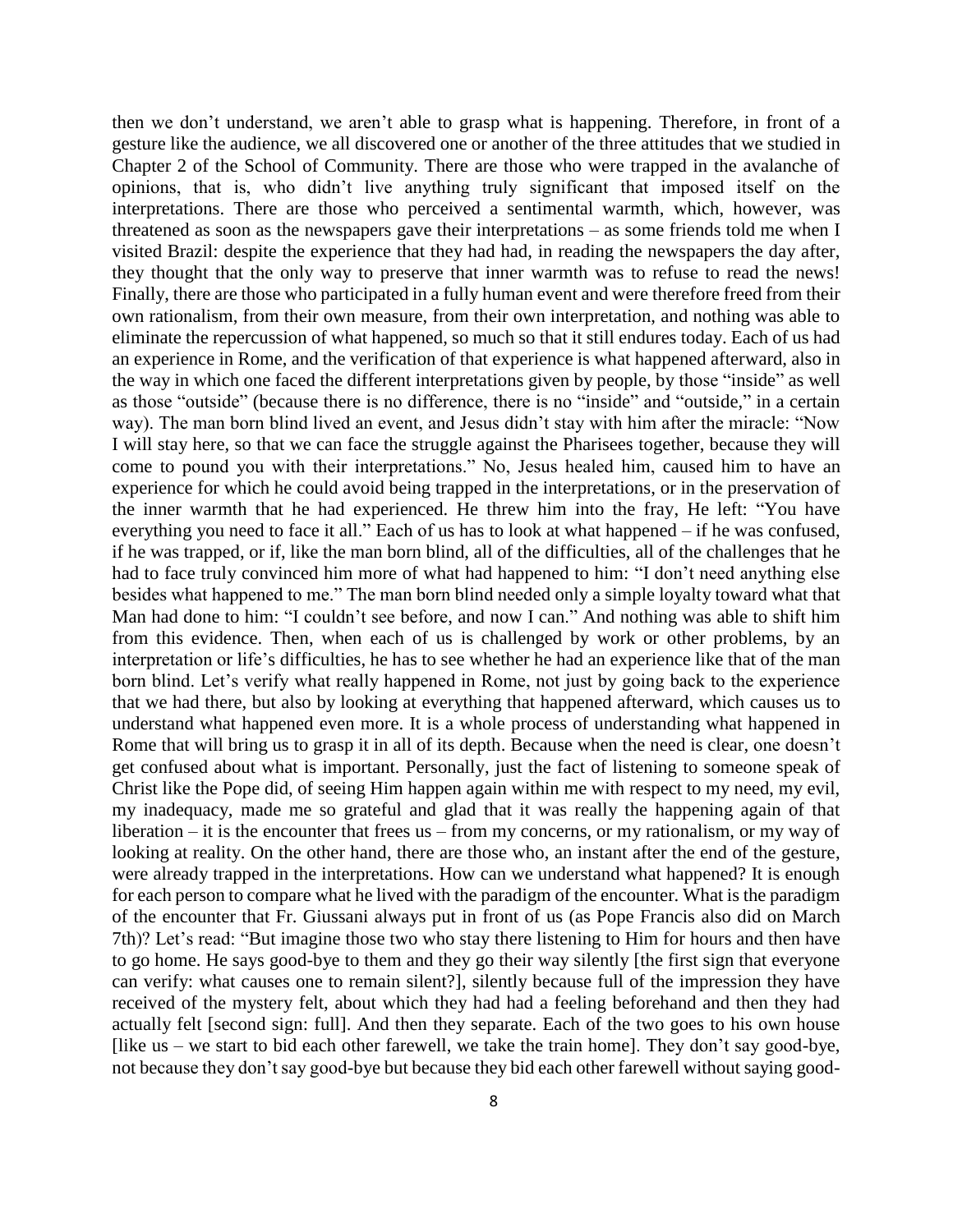then we don't understand, we aren't able to grasp what is happening. Therefore, in front of a gesture like the audience, we all discovered one or another of the three attitudes that we studied in Chapter 2 of the School of Community. There are those who were trapped in the avalanche of opinions, that is, who didn't live anything truly significant that imposed itself on the interpretations. There are those who perceived a sentimental warmth, which, however, was threatened as soon as the newspapers gave their interpretations – as some friends told me when I visited Brazil: despite the experience that they had had, in reading the newspapers the day after, they thought that the only way to preserve that inner warmth was to refuse to read the news! Finally, there are those who participated in a fully human event and were therefore freed from their own rationalism, from their own measure, from their own interpretation, and nothing was able to eliminate the repercussion of what happened, so much so that it still endures today. Each of us had an experience in Rome, and the verification of that experience is what happened afterward, also in the way in which one faced the different interpretations given by people, by those "inside" as well as those "outside" (because there is no difference, there is no "inside" and "outside," in a certain way). The man born blind lived an event, and Jesus didn't stay with him after the miracle: "Now I will stay here, so that we can face the struggle against the Pharisees together, because they will come to pound you with their interpretations." No, Jesus healed him, caused him to have an experience for which he could avoid being trapped in the interpretations, or in the preservation of the inner warmth that he had experienced. He threw him into the fray, He left: "You have everything you need to face it all." Each of us has to look at what happened – if he was confused, if he was trapped, or if, like the man born blind, all of the difficulties, all of the challenges that he had to face truly convinced him more of what had happened to him: "I don't need anything else besides what happened to me." The man born blind needed only a simple loyalty toward what that Man had done to him: "I couldn't see before, and now I can." And nothing was able to shift him from this evidence. Then, when each of us is challenged by work or other problems, by an interpretation or life's difficulties, he has to see whether he had an experience like that of the man born blind. Let's verify what really happened in Rome, not just by going back to the experience that we had there, but also by looking at everything that happened afterward, which causes us to understand what happened even more. It is a whole process of understanding what happened in Rome that will bring us to grasp it in all of its depth. Because when the need is clear, one doesn't get confused about what is important. Personally, just the fact of listening to someone speak of Christ like the Pope did, of seeing Him happen again within me with respect to my need, my evil, my inadequacy, made me so grateful and glad that it was really the happening again of that liberation – it is the encounter that frees us – from my concerns, or my rationalism, or my way of looking at reality. On the other hand, there are those who, an instant after the end of the gesture, were already trapped in the interpretations. How can we understand what happened? It is enough for each person to compare what he lived with the paradigm of the encounter. What is the paradigm of the encounter that Fr. Giussani always put in front of us (as Pope Francis also did on March 7th)? Let's read: "But imagine those two who stay there listening to Him for hours and then have to go home. He says good-bye to them and they go their way silently [the first sign that everyone can verify: what causes one to remain silent?], silently because full of the impression they have received of the mystery felt, about which they had had a feeling beforehand and then they had actually felt [second sign: full]. And then they separate. Each of the two goes to his own house [like us – we start to bid each other farewell, we take the train home]. They don't say good-bye, not because they don't say good-bye but because they bid each other farewell without saying good-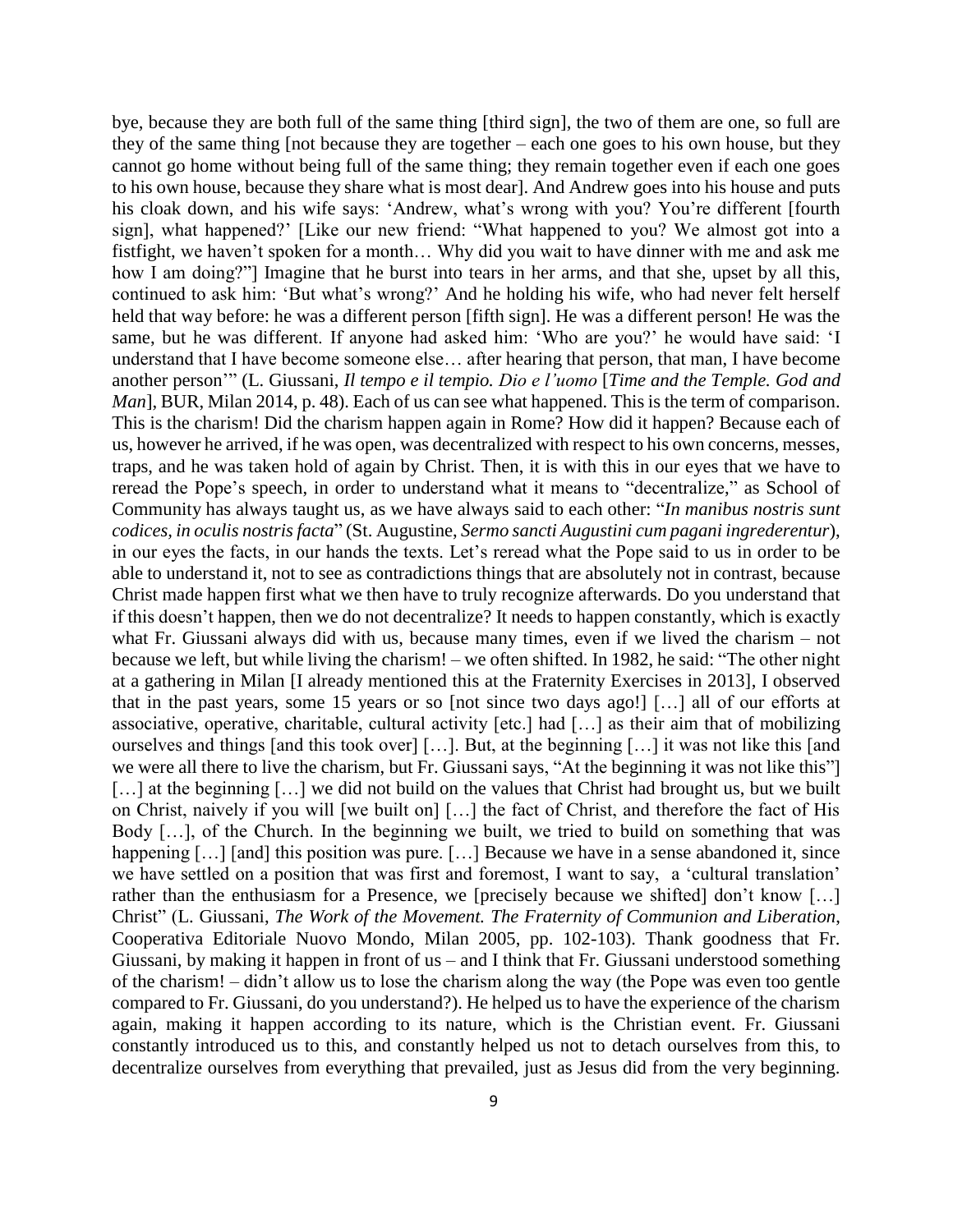bye, because they are both full of the same thing [third sign], the two of them are one, so full are they of the same thing [not because they are together – each one goes to his own house, but they cannot go home without being full of the same thing; they remain together even if each one goes to his own house, because they share what is most dear]. And Andrew goes into his house and puts his cloak down, and his wife says: 'Andrew, what's wrong with you? You're different [fourth sign], what happened?' [Like our new friend: "What happened to you? We almost got into a fistfight, we haven't spoken for a month… Why did you wait to have dinner with me and ask me how I am doing?"] Imagine that he burst into tears in her arms, and that she, upset by all this, continued to ask him: 'But what's wrong?' And he holding his wife, who had never felt herself held that way before: he was a different person [fifth sign]. He was a different person! He was the same, but he was different. If anyone had asked him: 'Who are you?' he would have said: 'I understand that I have become someone else… after hearing that person, that man, I have become another person'" (L. Giussani, *Il tempo e il tempio. Dio e l'uomo* [*Time and the Temple. God and Man*], BUR, Milan 2014, p. 48). Each of us can see what happened. This is the term of comparison. This is the charism! Did the charism happen again in Rome? How did it happen? Because each of us, however he arrived, if he was open, was decentralized with respect to his own concerns, messes, traps, and he was taken hold of again by Christ. Then, it is with this in our eyes that we have to reread the Pope's speech, in order to understand what it means to "decentralize," as School of Community has always taught us, as we have always said to each other: "*In manibus nostris sunt codices, in oculis nostris facta*" (St. Augustine, *Sermo sancti Augustini cum pagani ingrederentur*), in our eyes the facts, in our hands the texts. Let's reread what the Pope said to us in order to be able to understand it, not to see as contradictions things that are absolutely not in contrast, because Christ made happen first what we then have to truly recognize afterwards. Do you understand that if this doesn't happen, then we do not decentralize? It needs to happen constantly, which is exactly what Fr. Giussani always did with us, because many times, even if we lived the charism – not because we left, but while living the charism! – we often shifted. In 1982, he said: "The other night at a gathering in Milan [I already mentioned this at the Fraternity Exercises in 2013], I observed that in the past years, some 15 years or so [not since two days ago!] […] all of our efforts at associative, operative, charitable, cultural activity [etc.] had […] as their aim that of mobilizing ourselves and things [and this took over] […]. But, at the beginning […] it was not like this [and we were all there to live the charism, but Fr. Giussani says, "At the beginning it was not like this"] [...] at the beginning [...] we did not build on the values that Christ had brought us, but we built on Christ, naively if you will [we built on] […] the fact of Christ, and therefore the fact of His Body […], of the Church. In the beginning we built, we tried to build on something that was happening [...] [and] this position was pure. [...] Because we have in a sense abandoned it, since we have settled on a position that was first and foremost, I want to say, a 'cultural translation' rather than the enthusiasm for a Presence, we [precisely because we shifted] don't know […] Christ" (L. Giussani, *The Work of the Movement. The Fraternity of Communion and Liberation*, Cooperativa Editoriale Nuovo Mondo, Milan 2005, pp. 102-103). Thank goodness that Fr. Giussani, by making it happen in front of us – and I think that Fr. Giussani understood something of the charism! – didn't allow us to lose the charism along the way (the Pope was even too gentle compared to Fr. Giussani, do you understand?). He helped us to have the experience of the charism again, making it happen according to its nature, which is the Christian event. Fr. Giussani constantly introduced us to this, and constantly helped us not to detach ourselves from this, to decentralize ourselves from everything that prevailed, just as Jesus did from the very beginning.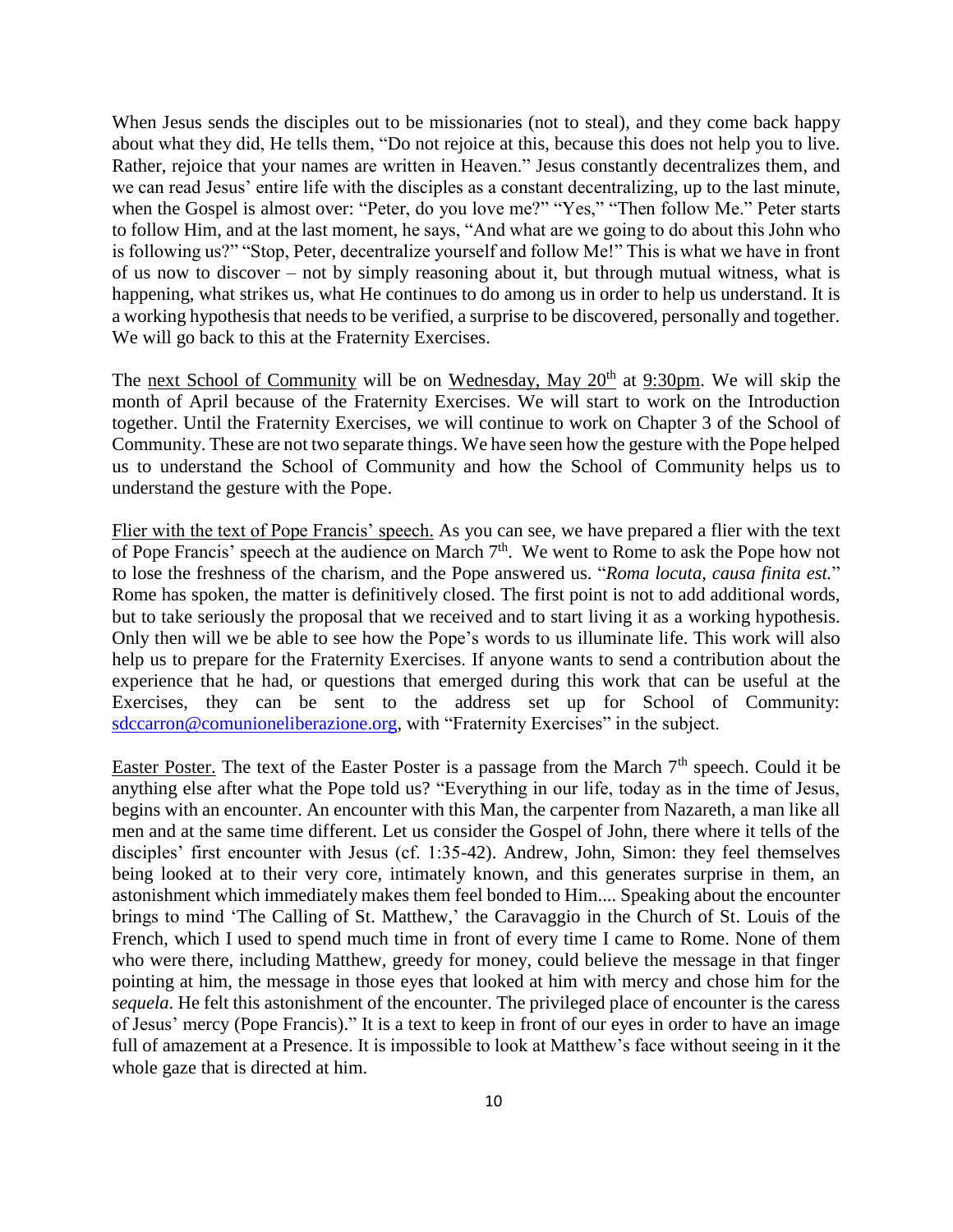When Jesus sends the disciples out to be missionaries (not to steal), and they come back happy about what they did, He tells them, "Do not rejoice at this, because this does not help you to live. Rather, rejoice that your names are written in Heaven." Jesus constantly decentralizes them, and we can read Jesus' entire life with the disciples as a constant decentralizing, up to the last minute, when the Gospel is almost over: "Peter, do you love me?" "Yes," "Then follow Me." Peter starts to follow Him, and at the last moment, he says, "And what are we going to do about this John who is following us?" "Stop, Peter, decentralize yourself and follow Me!" This is what we have in front of us now to discover – not by simply reasoning about it, but through mutual witness, what is happening, what strikes us, what He continues to do among us in order to help us understand. It is a working hypothesis that needs to be verified, a surprise to be discovered, personally and together. We will go back to this at the Fraternity Exercises.

The next School of Community will be on Wednesday, May  $20<sup>th</sup>$  at 9:30pm. We will skip the month of April because of the Fraternity Exercises. We will start to work on the Introduction together. Until the Fraternity Exercises, we will continue to work on Chapter 3 of the School of Community. These are not two separate things. We have seen how the gesture with the Pope helped us to understand the School of Community and how the School of Community helps us to understand the gesture with the Pope.

Flier with the text of Pope Francis' speech. As you can see, we have prepared a flier with the text of Pope Francis' speech at the audience on March  $7<sup>th</sup>$ . We went to Rome to ask the Pope how not to lose the freshness of the charism, and the Pope answered us. "*Roma locuta, causa finita est.*" Rome has spoken, the matter is definitively closed. The first point is not to add additional words, but to take seriously the proposal that we received and to start living it as a working hypothesis. Only then will we be able to see how the Pope's words to us illuminate life. This work will also help us to prepare for the Fraternity Exercises. If anyone wants to send a contribution about the experience that he had, or questions that emerged during this work that can be useful at the Exercises, they can be sent to the address set up for School of Community: [sdccarron@comunioneliberazione.org,](mailto:sdccarron@comunioneliberazione.org) with "Fraternity Exercises" in the subject.

Easter Poster. The text of the Easter Poster is a passage from the March  $7<sup>th</sup>$  speech. Could it be anything else after what the Pope told us? "Everything in our life, today as in the time of Jesus, begins with an encounter. An encounter with this Man, the carpenter from Nazareth, a man like all men and at the same time different. Let us consider the Gospel of John, there where it tells of the disciples' first encounter with Jesus (cf. 1:35-42). Andrew, John, Simon: they feel themselves being looked at to their very core, intimately known, and this generates surprise in them, an astonishment which immediately makes them feel bonded to Him.... Speaking about the encounter brings to mind 'The Calling of St. Matthew,' the Caravaggio in the Church of St. Louis of the French, which I used to spend much time in front of every time I came to Rome. None of them who were there, including Matthew, greedy for money, could believe the message in that finger pointing at him, the message in those eyes that looked at him with mercy and chose him for the *sequela*. He felt this astonishment of the encounter. The privileged place of encounter is the caress of Jesus' mercy (Pope Francis)." It is a text to keep in front of our eyes in order to have an image full of amazement at a Presence. It is impossible to look at Matthew's face without seeing in it the whole gaze that is directed at him.